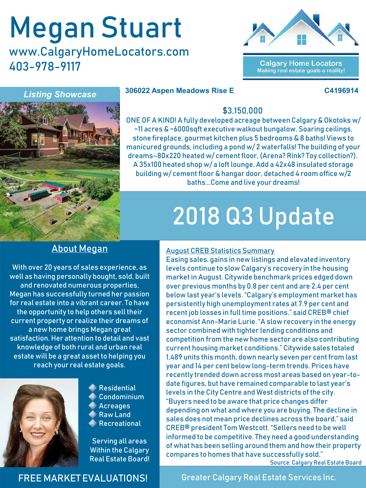# Megan Stuart

www.CalgaryHomeLocators.com 403-978-9117



**Calgary Home Locators** Making real estate goals a reality!

*Listing Showcase*

#### **306022 Aspen Meadows Rise E C4196914**



### \$3,150,000

ONE OF A KIND! A fully developed acreage between Calgary & Okotoks w/ ~11 acres & ~6000sqft executive walkout bungalow. Soaring ceilings, stone fireplace, gourmet kitchen plus 5 bedrooms & 8 baths! Views to manicured grounds, including a pond w/ 2 waterfalls! The building of your dreams–80x220 heated w/ cement floor, (Arena? Rink? Toy collection?). A 35x100 heated shop w/ a loft lounge. Add a 42x48 insulated storage building w/ cement floor & hangar door, detached 4 room office w/2 baths...Come and live your dreams!

# 2018 Q3 Update

## About Megan

With over 20 years of sales experience, as well as having personally bought, sold, built and renovated numerous properties, Megan has successfully turned her passion for real estate into a vibrant career. To have the opportunity to help others sell their current property or realize their dreams of a new home brings Megan great satisfaction. Her attention to detail and vast knowledge of both rural and urban real estate will be a great asset to helping you reach your real estate goals.



**Residential** Condominium Acreages Raw Land Recreational

Serving all areas Within the Calgary Real Estate Board!

#### August CREB Statistics Summary

Easing sales, gains in new listings and elevated inventory levels continue to slow Calgary's recovery in the housing market in August. Citywide benchmark prices edged down over previous months by 0.8 per cent and are 2.4 per cent below last year's levels. "Calgary's employment market has persistently high unemployment rates at 7.9 per cent and recent job losses in full time positions." said CREB® chief economist Ann-Marie Lurie. "A slow recovery in the energy sector combined with tighter lending conditions and competition from the new home sector are also contributing current housing market conditions." Citywide sales totaled 1,489 units this month, down nearly seven per cent from last year and 14 per cent below long-term trends. Prices have recently trended down across most areas based on year-todate figures, but have remained comparable to last year's levels in the City Centre and West districts of the city. "Buyers need to be aware that price changes differ depending on what and where you are buying. The decline in sales does not mean price declines across the board," said CREB® president Tom Westcott. "Sellers need to be well informed to be competitive. They need a good understanding of what has been selling around them and how their property compares to homes that have successfully sold." Source: Calgary Real Estate Board

### FREE MARKET EVALUATIONS!

Greater Calgary Real Estate Services Inc.